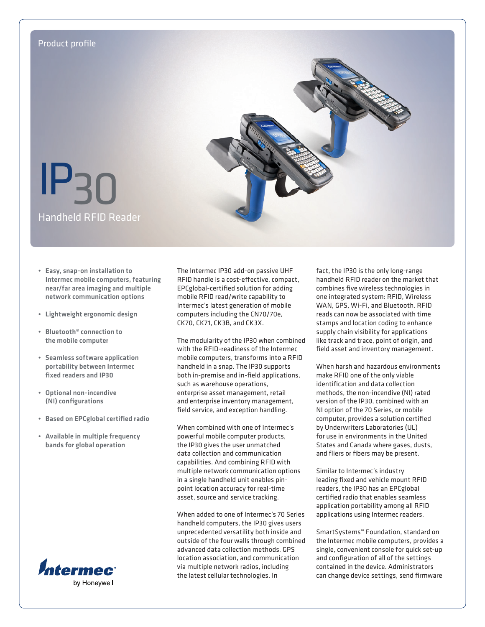

- Easy, snap-on installation to Intermec mobile computers, featuring near/far area imaging and multiple network communication options
- Lightweight ergonomic design
- Bluetooth® connection to the mobile computer
- Seamless software application portability between Intermec fixed readers and IP30
- Optional non-incendive (NI) configurations
- Based on EPCglobal certified radio
- Available in multiple frequency bands for global operation



The Intermec IP30 add-on passive UHF RFID handle is a cost-effective, compact, EPCglobal-certified solution for adding mobile RFID read/write capability to Intermec's latest generation of mobile computers including the CN70/70e, CK70, CK71, CK3B, and CK3X.

The modularity of the IP30 when combined with the RFID-readiness of the Intermec mobile computers, transforms into a RFID handheld in a snap. The IP30 supports both in-premise and in-field applications, such as warehouse operations, enterprise asset management, retail and enterprise inventory management, field service, and exception handling.

When combined with one of Intermec's powerful mobile computer products, the IP30 gives the user unmatched data collection and communication capabilities. And combining RFID with multiple network communication options in a single handheld unit enables pinpoint location accuracy for real-time asset, source and service tracking.

When added to one of Intermec's 70 Series handheld computers, the IP30 gives users unprecedented versatility both inside and outside of the four walls through combined advanced data collection methods, GPS location association, and communication via multiple network radios, including the latest cellular technologies. In

fact, the IP30 is the only long-range handheld RFID reader on the market that combines five wireless technologies in one integrated system: RFID, Wireless WAN, GPS, Wi-Fi, and Bluetooth. RFID reads can now be associated with time stamps and location coding to enhance supply chain visibility for applications like track and trace, point of origin, and field asset and inventory management.

When harsh and hazardous environments make RFID one of the only viable identification and data collection methods, the non-incendive (NI) rated version of the IP30, combined with an NI option of the 70 Series, or mobile computer, provides a solution certified by Underwriters Laboratories (UL) for use in environments in the United States and Canada where gases, dusts, and fliers or fibers may be present.

Similar to Intermec's industry leading fixed and vehicle mount RFID readers, the IP30 has an EPCglobal certified radio that enables seamless application portability among all RFID applications using Intermec readers.

SmartSystems™ Foundation, standard on the Intermec mobile computers, provides a single, convenient console for quick set-up and configuration of all of the settings contained in the device. Administrators can change device settings, send firmware